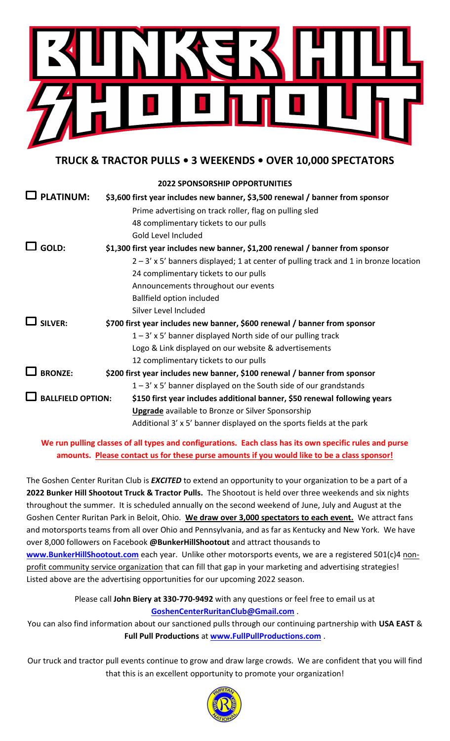

**TRUCK & TRACTOR PULLS • 3 WEEKENDS • OVER 10,000 SPECTATORS**

|                          | <b>2022 SPONSORSHIP OPPORTUNITIES</b>                                                  |
|--------------------------|----------------------------------------------------------------------------------------|
| <b>PLATINUM:</b>         | \$3,600 first year includes new banner, \$3,500 renewal / banner from sponsor          |
|                          | Prime advertising on track roller, flag on pulling sled                                |
|                          | 48 complimentary tickets to our pulls                                                  |
|                          | Gold Level Included                                                                    |
| GOLD:                    | \$1,300 first year includes new banner, \$1,200 renewal / banner from sponsor          |
|                          | $2 - 3'$ x 5' banners displayed; 1 at center of pulling track and 1 in bronze location |
|                          | 24 complimentary tickets to our pulls                                                  |
|                          | Announcements throughout our events                                                    |
|                          | <b>Ballfield option included</b>                                                       |
|                          | Silver Level Included                                                                  |
| <b>SILVER:</b>           | \$700 first year includes new banner, \$600 renewal / banner from sponsor              |
|                          | $1 - 3'$ x 5' banner displayed North side of our pulling track                         |
|                          | Logo & Link displayed on our website & advertisements                                  |
|                          | 12 complimentary tickets to our pulls                                                  |
| <b>BRONZE:</b>           | \$200 first year includes new banner, \$100 renewal / banner from sponsor              |
|                          | $1 - 3'$ x 5' banner displayed on the South side of our grandstands                    |
| <b>BALLFIELD OPTION:</b> | \$150 first year includes additional banner, \$50 renewal following years              |
|                          | <b>Upgrade</b> available to Bronze or Silver Sponsorship                               |
|                          | Additional 3' x 5' banner displayed on the sports fields at the park                   |
|                          |                                                                                        |

**We run pulling classes of all types and configurations. Each class has its own specific rules and purse amounts. Please contact us for these purse amounts if you would like to be a class sponsor!**

The Goshen Center Ruritan Club is *EXCITED* to extend an opportunity to your organization to be a part of a **2022 Bunker Hill Shootout Truck & Tractor Pulls.** The Shootout is held over three weekends and six nights throughout the summer. It is scheduled annually on the second weekend of June, July and August at the Goshen Center Ruritan Park in Beloit, Ohio. **We draw over 3,000 spectators to each event.** We attract fans and motorsports teams from all over Ohio and Pennsylvania, and as far as Kentucky and New York. We have over 8,000 followers on Facebook **@BunkerHillShootout** and attract thousands to

[www.BunkerHillShootout.com](http://www.bunkerhillshootout.com/) each year. Unlike other motorsports events, we are a registered 501(c)4 nonprofit community service organization that can fill that gap in your marketing and advertising strategies! Listed above are the advertising opportunities for our upcoming 2022 season.

> Please call **John Biery at 330-770-9492** with any questions or feel free to email us at **[GoshenCenterRuritanClub@Gmail.com](mailto:GoshenCenterRuritanClub@Gmail.com)** .

You can also find information about our sanctioned pulls through our continuing partnership with **USA EAST** & **Full Pull Productions** at **[www.FullPullProductions.com](http://www.fullpullproductions.com/)** .

Our truck and tractor pull events continue to grow and draw large crowds. We are confident that you will find that this is an excellent opportunity to promote your organization!